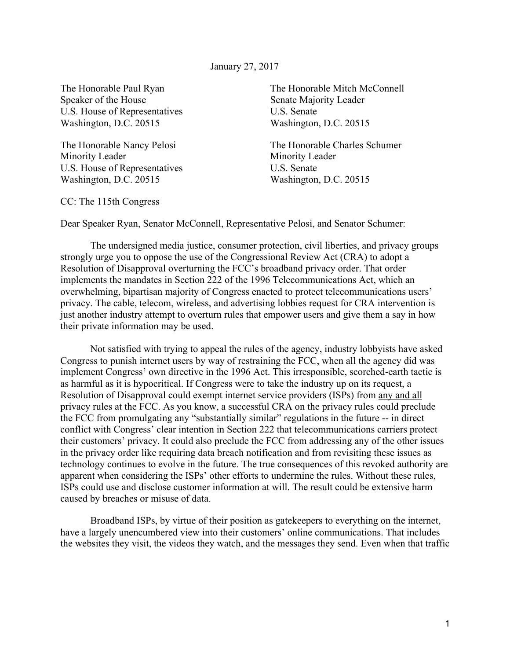January 27, 2017

Speaker of the House Senate Majority Leader U.S. House of Representatives U.S. Senate Washington, D.C. 20515 Washington, D.C. 20515

Minority Leader Minority Leader U.S. House of Representatives U.S. Senate Washington, D.C. 20515 Washington, D.C. 20515

The Honorable Paul Ryan The Honorable Mitch McConnell

The Honorable Nancy Pelosi The Honorable Charles Schumer

CC: The 115th Congress

Dear Speaker Ryan, Senator McConnell, Representative Pelosi, and Senator Schumer:

The undersigned media justice, consumer protection, civil liberties, and privacy groups strongly urge you to oppose the use of the Congressional Review Act (CRA) to adopt a Resolution of Disapproval overturning the FCC's broadband privacy order. That order implements the mandates in Section 222 of the 1996 Telecommunications Act, which an overwhelming, bipartisan majority of Congress enacted to protect telecommunications users' privacy. The cable, telecom, wireless, and advertising lobbies request for CRA intervention is just another industry attempt to overturn rules that empower users and give them a say in how their private information may be used.

Not satisfied with trying to appeal the rules of the agency, industry lobbyists have asked Congress to punish internet users by way of restraining the FCC, when all the agency did was implement Congress' own directive in the 1996 Act. This irresponsible, scorched-earth tactic is as harmful as it is hypocritical. If Congress were to take the industry up on its request, a Resolution of Disapproval could exempt internet service providers (ISPs) from any and all privacy rules at the FCC. As you know, a successful CRA on the privacy rules could preclude the FCC from promulgating any "substantially similar" regulations in the future -- in direct conflict with Congress' clear intention in Section 222 that telecommunications carriers protect their customers' privacy. It could also preclude the FCC from addressing any of the other issues in the privacy order like requiring data breach notification and from revisiting these issues as technology continues to evolve in the future. The true consequences of this revoked authority are apparent when considering the ISPs' other efforts to undermine the rules. Without these rules, ISPs could use and disclose customer information at will. The result could be extensive harm caused by breaches or misuse of data.

Broadband ISPs, by virtue of their position as gatekeepers to everything on the internet, have a largely unencumbered view into their customers' online communications. That includes the websites they visit, the videos they watch, and the messages they send. Even when that traffic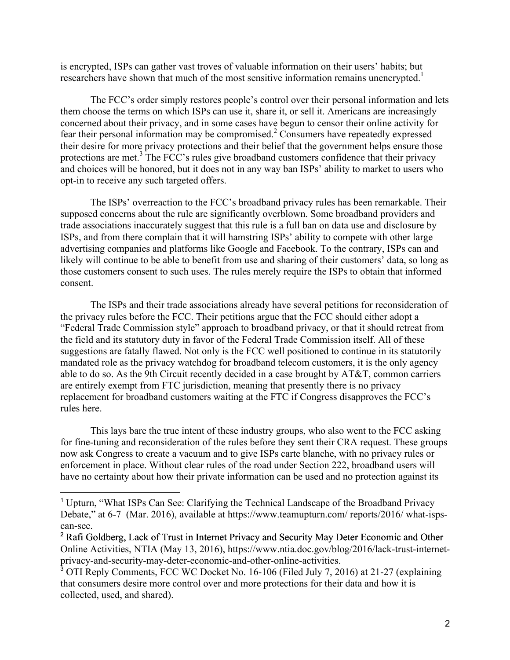is encrypted, ISPs can gather vast troves of valuable information on their users' habits; but researchers have shown that much of the most sensitive information remains unencrypted.<sup>1</sup>

The FCC's order simply restores people's control over their personal information and lets them choose the terms on which ISPs can use it, share it, or sell it. Americans are increasingly concerned about their privacy, and in some cases have begun to censor their online activity for fear their personal information may be compromised.<sup>2</sup> Consumers have repeatedly expressed their desire for more privacy protections and their belief that the government helps ensure those protections are met.<sup>3</sup> The FCC's rules give broadband customers confidence that their privacy and choices will be honored, but it does not in any way ban ISPs' ability to market to users who opt-in to receive any such targeted offers.

The ISPs' overreaction to the FCC's broadband privacy rules has been remarkable. Their supposed concerns about the rule are significantly overblown. Some broadband providers and trade associations inaccurately suggest that this rule is a full ban on data use and disclosure by ISPs, and from there complain that it will hamstring ISPs' ability to compete with other large advertising companies and platforms like Google and Facebook. To the contrary, ISPs can and likely will continue to be able to benefit from use and sharing of their customers' data, so long as those customers consent to such uses. The rules merely require the ISPs to obtain that informed consent.

The ISPs and their trade associations already have several petitions for reconsideration of the privacy rules before the FCC. Their petitions argue that the FCC should either adopt a "Federal Trade Commission style" approach to broadband privacy, or that it should retreat from the field and its statutory duty in favor of the Federal Trade Commission itself. All of these suggestions are fatally flawed. Not only is the FCC well positioned to continue in its statutorily mandated role as the privacy watchdog for broadband telecom customers, it is the only agency able to do so. As the 9th Circuit recently decided in a case brought by AT&T, common carriers are entirely exempt from FTC jurisdiction, meaning that presently there is no privacy replacement for broadband customers waiting at the FTC if Congress disapproves the FCC's rules here.

This lays bare the true intent of these industry groups, who also went to the FCC asking for fine-tuning and reconsideration of the rules before they sent their CRA request. These groups now ask Congress to create a vacuum and to give ISPs carte blanche, with no privacy rules or enforcement in place. Without clear rules of the road under Section 222, broadband users will have no certainty about how their private information can be used and no protection against its

 <sup>1</sup> Upturn, "What ISPs Can See: Clarifying the Technical Landscape of the Broadband Privacy Debate," at 6-7 (Mar. 2016), available at https://www.teamupturn.com/ reports/2016/ what-ispscan-see.

<sup>&</sup>lt;sup>2</sup> Rafi Goldberg, Lack of Trust in Internet Privacy and Security May Deter Economic and Other Online Activities, NTIA (May 13, 2016), https://www.ntia.doc.gov/blog/2016/lack-trust-internetprivacy-and-security-may-deter-economic-and-other-online-activities.

<sup>3</sup> OTI Reply Comments, FCC WC Docket No. 16-106 (Filed July 7, 2016) at 21-27 (explaining that consumers desire more control over and more protections for their data and how it is collected, used, and shared).